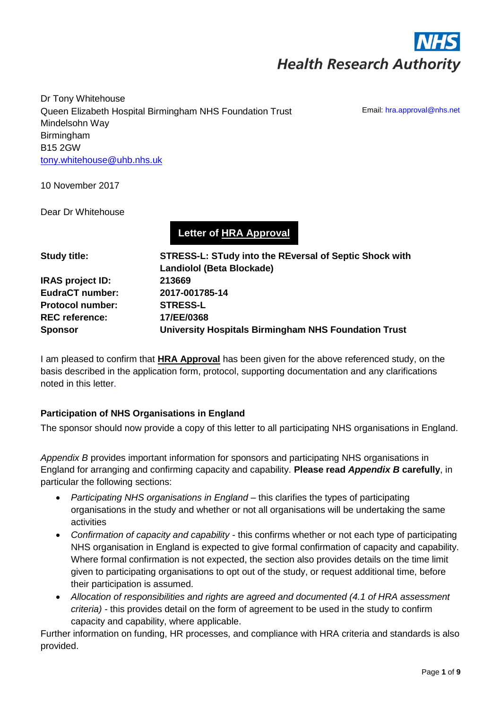

Dr Tony Whitehouse Queen Elizabeth Hospital Birmingham NHS Foundation Trust Mindelsohn Way Birmingham B15 2GW [tony.whitehouse@uhb.nhs.uk](mailto:tony.whitehouse@uhb.nhs.uk)

Email: hra.approval@nhs.net

10 November 2017

Dear Dr Whitehouse

**Letter of HRA Approval**

| <b>STRESS-L: STudy into the REversal of Septic Shock with</b> |  |  |
|---------------------------------------------------------------|--|--|
| <b>Landiolol (Beta Blockade)</b>                              |  |  |
| 213669                                                        |  |  |
| 2017-001785-14                                                |  |  |
| <b>STRESS-L</b>                                               |  |  |
| 17/EE/0368                                                    |  |  |
| University Hospitals Birmingham NHS Foundation Trust          |  |  |
|                                                               |  |  |

I am pleased to confirm that **HRA Approval** has been given for the above referenced study, on the basis described in the application form, protocol, supporting documentation and any clarifications noted in this letter.

### **Participation of NHS Organisations in England**

The sponsor should now provide a copy of this letter to all participating NHS organisations in England.

*Appendix B* provides important information for sponsors and participating NHS organisations in England for arranging and confirming capacity and capability. **Please read** *Appendix B* **carefully**, in particular the following sections:

- *Participating NHS organisations in England* this clarifies the types of participating organisations in the study and whether or not all organisations will be undertaking the same activities
- *Confirmation of capacity and capability* this confirms whether or not each type of participating NHS organisation in England is expected to give formal confirmation of capacity and capability. Where formal confirmation is not expected, the section also provides details on the time limit given to participating organisations to opt out of the study, or request additional time, before their participation is assumed.
- *Allocation of responsibilities and rights are agreed and documented (4.1 of HRA assessment criteria) -* this provides detail on the form of agreement to be used in the study to confirm capacity and capability, where applicable.

Further information on funding, HR processes, and compliance with HRA criteria and standards is also provided.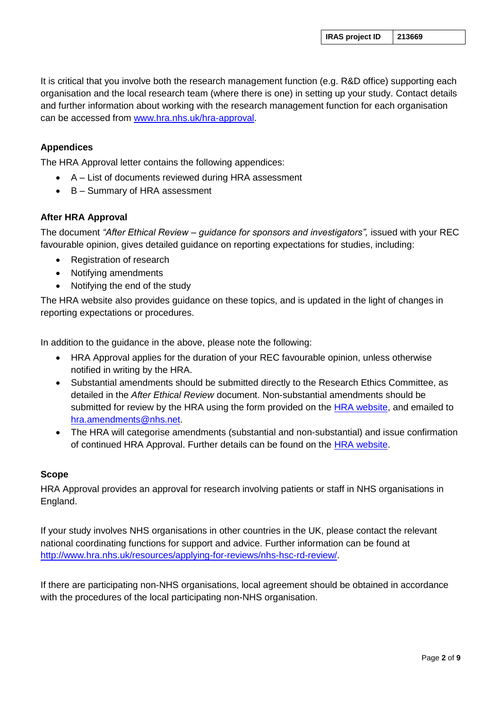It is critical that you involve both the research management function (e.g. R&D office) supporting each organisation and the local research team (where there is one) in setting up your study. Contact details and further information about working with the research management function for each organisation can be accessed from [www.hra.nhs.uk/hra-approval.](http://www.hra.nhs.uk/hra-approval)

### **Appendices**

The HRA Approval letter contains the following appendices:

- A List of documents reviewed during HRA assessment
- B Summary of HRA assessment

### **After HRA Approval**

The document *"After Ethical Review – guidance for sponsors and investigators",* issued with your REC favourable opinion, gives detailed guidance on reporting expectations for studies, including:

- Registration of research
- Notifying amendments
- Notifying the end of the study

The HRA website also provides guidance on these topics, and is updated in the light of changes in reporting expectations or procedures.

In addition to the guidance in the above, please note the following:

- HRA Approval applies for the duration of your REC favourable opinion, unless otherwise notified in writing by the HRA.
- Substantial amendments should be submitted directly to the Research Ethics Committee, as detailed in the *After Ethical Review* document. Non-substantial amendments should be submitted for review by the HRA using the form provided on the [HRA website,](http://www.hra.nhs.uk/documents/2014/11/notification-non-substantialminor-amendmentss-nhs-studies.docx) and emailed to [hra.amendments@nhs.net.](mailto:hra.amendments@nhs.net)
- The HRA will categorise amendments (substantial and non-substantial) and issue confirmation of continued HRA Approval. Further details can be found on the [HRA website.](http://www.hra.nhs.uk/resources/hra-approval-applicant-guidance/during-your-study-with-hra-approval/)

#### **Scope**

HRA Approval provides an approval for research involving patients or staff in NHS organisations in England.

If your study involves NHS organisations in other countries in the UK, please contact the relevant national coordinating functions for support and advice. Further information can be found at [http://www.hra.nhs.uk/resources/applying-for-reviews/nhs-hsc-rd-review/.](http://www.hra.nhs.uk/resources/applying-for-reviews/nhs-hsc-rd-review/)

If there are participating non-NHS organisations, local agreement should be obtained in accordance with the procedures of the local participating non-NHS organisation.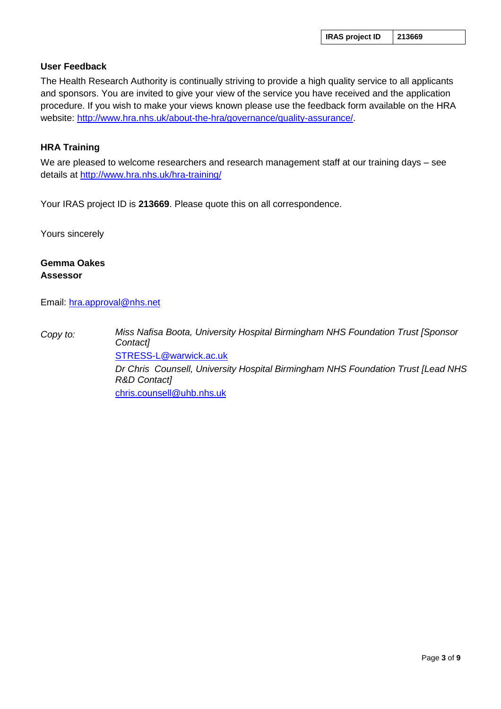#### **User Feedback**

The Health Research Authority is continually striving to provide a high quality service to all applicants and sponsors. You are invited to give your view of the service you have received and the application procedure. If you wish to make your views known please use the feedback form available on the HRA website: [http://www.hra.nhs.uk/about-the-hra/governance/quality-assurance/.](http://www.hra.nhs.uk/about-the-hra/governance/quality-assurance/)

#### **HRA Training**

We are pleased to welcome researchers and research management staff at our training days – see details at <http://www.hra.nhs.uk/hra-training/>

Your IRAS project ID is **213669**. Please quote this on all correspondence.

Yours sincerely

#### **Gemma Oakes Assessor**

Email: [hra.approval@nhs.net](mailto:hra.approval@nhs.net)

*Copy to: Miss Nafisa Boota, University Hospital Birmingham NHS Foundation Trust [Sponsor Contact]* [STRESS-L@warwick.ac.uk](mailto:STRESS-L@warwick.ac.uk) *Dr Chris Counsell, University Hospital Birmingham NHS Foundation Trust [Lead NHS R&D Contact]* [chris.counsell@uhb.nhs.uk](mailto:chris.counsell@uhb.nhs.uk)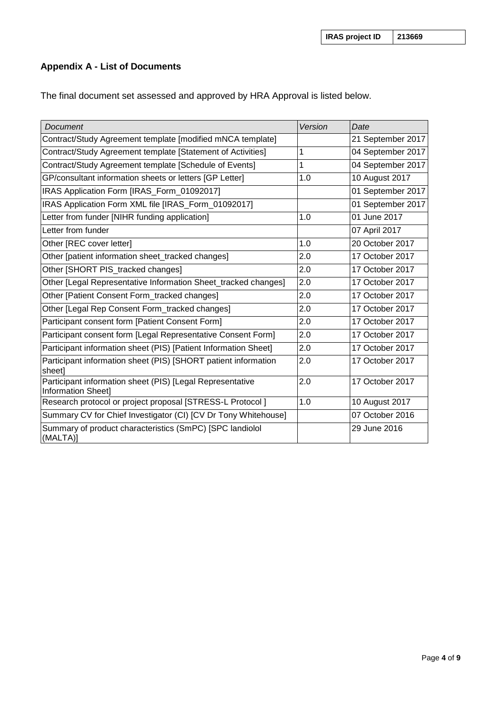# **Appendix A - List of Documents**

The final document set assessed and approved by HRA Approval is listed below.

| <b>Document</b>                                                                        | Version | Date              |
|----------------------------------------------------------------------------------------|---------|-------------------|
| Contract/Study Agreement template [modified mNCA template]                             |         | 21 September 2017 |
| Contract/Study Agreement template [Statement of Activities]                            | 1       | 04 September 2017 |
| Contract/Study Agreement template [Schedule of Events]                                 | 1       | 04 September 2017 |
| GP/consultant information sheets or letters [GP Letter]                                | 1.0     | 10 August 2017    |
| IRAS Application Form [IRAS_Form_01092017]                                             |         | 01 September 2017 |
| IRAS Application Form XML file [IRAS_Form_01092017]                                    |         | 01 September 2017 |
| Letter from funder [NIHR funding application]                                          | 1.0     | 01 June 2017      |
| Letter from funder                                                                     |         | 07 April 2017     |
| Other [REC cover letter]                                                               | 1.0     | 20 October 2017   |
| Other [patient information sheet_tracked changes]                                      | 2.0     | 17 October 2017   |
| Other [SHORT PIS_tracked changes]                                                      | 2.0     | 17 October 2017   |
| Other [Legal Representative Information Sheet_tracked changes]                         | 2.0     | 17 October 2017   |
| Other [Patient Consent Form tracked changes]                                           | 2.0     | 17 October 2017   |
| Other [Legal Rep Consent Form_tracked changes]                                         | 2.0     | 17 October 2017   |
| Participant consent form [Patient Consent Form]                                        | 2.0     | 17 October 2017   |
| Participant consent form [Legal Representative Consent Form]                           | 2.0     | 17 October 2017   |
| Participant information sheet (PIS) [Patient Information Sheet]                        | 2.0     | 17 October 2017   |
| Participant information sheet (PIS) [SHORT patient information<br>sheet]               | 2.0     | 17 October 2017   |
| Participant information sheet (PIS) [Legal Representative<br><b>Information Sheet]</b> | 2.0     | 17 October 2017   |
| Research protocol or project proposal [STRESS-L Protocol]                              | 1.0     | 10 August 2017    |
| Summary CV for Chief Investigator (CI) [CV Dr Tony Whitehouse]                         |         | 07 October 2016   |
| Summary of product characteristics (SmPC) [SPC landiolol<br>(MALTA)]                   |         | 29 June 2016      |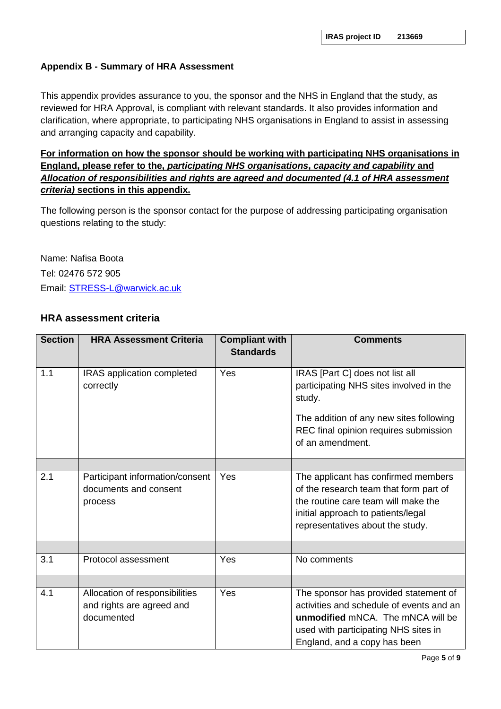### **Appendix B - Summary of HRA Assessment**

This appendix provides assurance to you, the sponsor and the NHS in England that the study, as reviewed for HRA Approval, is compliant with relevant standards. It also provides information and clarification, where appropriate, to participating NHS organisations in England to assist in assessing and arranging capacity and capability.

## **For information on how the sponsor should be working with participating NHS organisations in England, please refer to the,** *participating NHS organisations***,** *capacity and capability* **and**  *Allocation of responsibilities and rights are agreed and documented (4.1 of HRA assessment criteria)* **sections in this appendix.**

The following person is the sponsor contact for the purpose of addressing participating organisation questions relating to the study:

Name: Nafisa Boota Tel: 02476 572 905 Email: [STRESS-L@warwick.ac.uk](mailto:STRESS-L@warwick.ac.uk)

### **HRA assessment criteria**

| <b>Section</b> | <b>HRA Assessment Criteria</b>                                            | <b>Compliant with</b><br><b>Standards</b> | <b>Comments</b>                                                                                                                                                                                |
|----------------|---------------------------------------------------------------------------|-------------------------------------------|------------------------------------------------------------------------------------------------------------------------------------------------------------------------------------------------|
| 1.1            | IRAS application completed<br>correctly                                   | Yes                                       | IRAS [Part C] does not list all<br>participating NHS sites involved in the<br>study.                                                                                                           |
|                |                                                                           |                                           | The addition of any new sites following<br>REC final opinion requires submission<br>of an amendment.                                                                                           |
|                |                                                                           |                                           |                                                                                                                                                                                                |
| 2.1            | Participant information/consent<br>documents and consent<br>process       | Yes                                       | The applicant has confirmed members<br>of the research team that form part of<br>the routine care team will make the<br>initial approach to patients/legal<br>representatives about the study. |
|                |                                                                           |                                           |                                                                                                                                                                                                |
| 3.1            | Protocol assessment                                                       | Yes                                       | No comments                                                                                                                                                                                    |
|                |                                                                           |                                           |                                                                                                                                                                                                |
| 4.1            | Allocation of responsibilities<br>and rights are agreed and<br>documented | Yes                                       | The sponsor has provided statement of<br>activities and schedule of events and an<br>unmodified mNCA. The mNCA will be<br>used with participating NHS sites in<br>England, and a copy has been |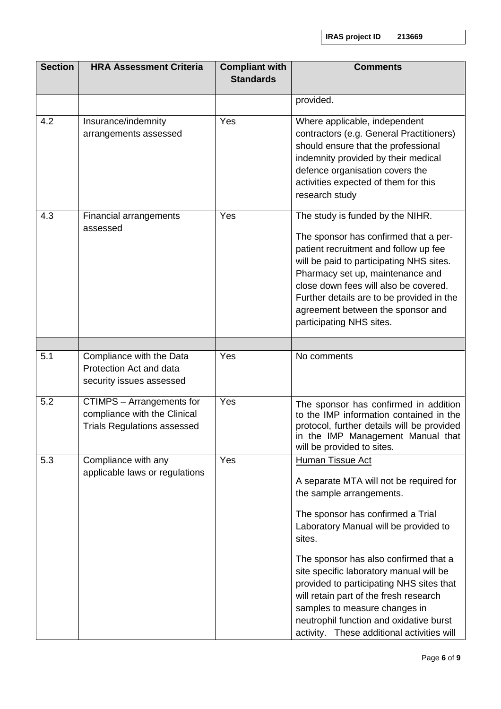**IRAS project ID 213669**

| <b>Section</b> | <b>HRA Assessment Criteria</b>                                                                         | <b>Compliant with</b><br><b>Standards</b> | <b>Comments</b>                                                                                                                                                                                                                                                                                                                                                                                                                                                                            |
|----------------|--------------------------------------------------------------------------------------------------------|-------------------------------------------|--------------------------------------------------------------------------------------------------------------------------------------------------------------------------------------------------------------------------------------------------------------------------------------------------------------------------------------------------------------------------------------------------------------------------------------------------------------------------------------------|
|                |                                                                                                        |                                           | provided.                                                                                                                                                                                                                                                                                                                                                                                                                                                                                  |
| 4.2            | Insurance/indemnity<br>arrangements assessed                                                           | Yes                                       | Where applicable, independent<br>contractors (e.g. General Practitioners)<br>should ensure that the professional<br>indemnity provided by their medical<br>defence organisation covers the<br>activities expected of them for this<br>research study                                                                                                                                                                                                                                       |
| 4.3            | Financial arrangements<br>assessed                                                                     | Yes                                       | The study is funded by the NIHR.<br>The sponsor has confirmed that a per-<br>patient recruitment and follow up fee<br>will be paid to participating NHS sites.<br>Pharmacy set up, maintenance and<br>close down fees will also be covered.<br>Further details are to be provided in the<br>agreement between the sponsor and<br>participating NHS sites.                                                                                                                                  |
| 5.1            | Compliance with the Data<br>Protection Act and data<br>security issues assessed                        | Yes                                       | No comments                                                                                                                                                                                                                                                                                                                                                                                                                                                                                |
| 5.2            | <b>CTIMPS</b> - Arrangements for<br>compliance with the Clinical<br><b>Trials Regulations assessed</b> | Yes                                       | The sponsor has confirmed in addition<br>to the IMP information contained in the<br>protocol, further details will be provided<br>in the IMP Management Manual that<br>will be provided to sites.                                                                                                                                                                                                                                                                                          |
| 5.3            | Compliance with any<br>applicable laws or regulations                                                  | Yes                                       | <b>Human Tissue Act</b><br>A separate MTA will not be required for<br>the sample arrangements.<br>The sponsor has confirmed a Trial<br>Laboratory Manual will be provided to<br>sites.<br>The sponsor has also confirmed that a<br>site specific laboratory manual will be<br>provided to participating NHS sites that<br>will retain part of the fresh research<br>samples to measure changes in<br>neutrophil function and oxidative burst<br>activity. These additional activities will |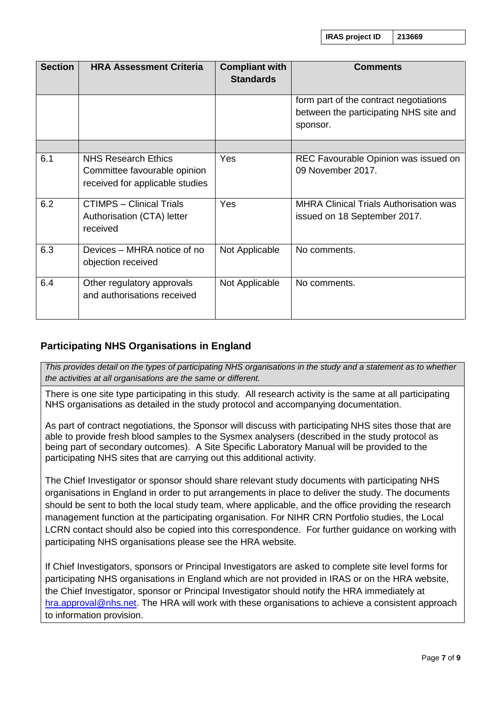**IRAS project ID 213669**

| <b>Section</b> | <b>HRA Assessment Criteria</b>                                                                | <b>Compliant with</b><br><b>Standards</b> | <b>Comments</b>                                                                  |
|----------------|-----------------------------------------------------------------------------------------------|-------------------------------------------|----------------------------------------------------------------------------------|
|                |                                                                                               |                                           | form part of the contract negotiations<br>between the participating NHS site and |
|                |                                                                                               |                                           | sponsor.                                                                         |
|                |                                                                                               |                                           |                                                                                  |
| 6.1            | <b>NHS Research Ethics</b><br>Committee favourable opinion<br>received for applicable studies | <b>Yes</b>                                | REC Favourable Opinion was issued on<br>09 November 2017.                        |
| 6.2            | <b>CTIMPS - Clinical Trials</b><br>Authorisation (CTA) letter<br>received                     | <b>Yes</b>                                | <b>MHRA Clinical Trials Authorisation was</b><br>issued on 18 September 2017.    |
| 6.3            | Devices – MHRA notice of no<br>objection received                                             | Not Applicable                            | No comments.                                                                     |
| 6.4            | Other regulatory approvals<br>and authorisations received                                     | Not Applicable                            | No comments.                                                                     |

# **Participating NHS Organisations in England**

*This provides detail on the types of participating NHS organisations in the study and a statement as to whether the activities at all organisations are the same or different.* 

There is one site type participating in this study. All research activity is the same at all participating NHS organisations as detailed in the study protocol and accompanying documentation.

As part of contract negotiations, the Sponsor will discuss with participating NHS sites those that are able to provide fresh blood samples to the Sysmex analysers (described in the study protocol as being part of secondary outcomes). A Site Specific Laboratory Manual will be provided to the participating NHS sites that are carrying out this additional activity.

The Chief Investigator or sponsor should share relevant study documents with participating NHS organisations in England in order to put arrangements in place to deliver the study. The documents should be sent to both the local study team, where applicable, and the office providing the research management function at the participating organisation. For NIHR CRN Portfolio studies, the Local LCRN contact should also be copied into this correspondence. For further guidance on working with participating NHS organisations please see the HRA website.

If Chief Investigators, sponsors or Principal Investigators are asked to complete site level forms for participating NHS organisations in England which are not provided in IRAS or on the HRA website, the Chief Investigator, sponsor or Principal Investigator should notify the HRA immediately at [hra.approval@nhs.net.](mailto:hra.approvalprogramme@nhs.net) The HRA will work with these organisations to achieve a consistent approach to information provision.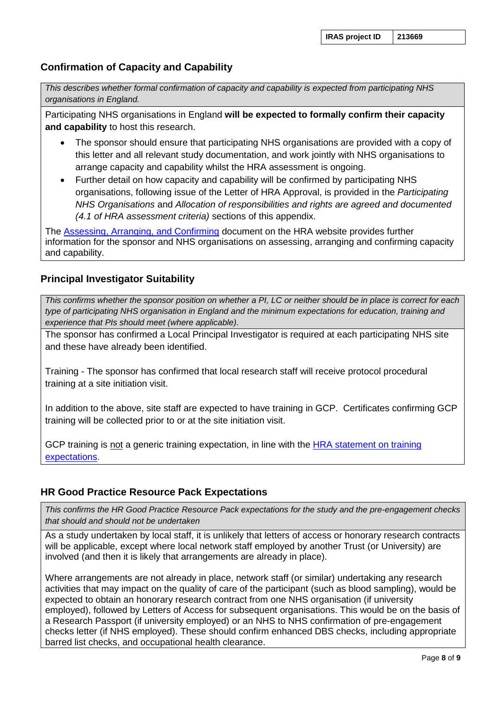# **Confirmation of Capacity and Capability**

*This describes whether formal confirmation of capacity and capability is expected from participating NHS organisations in England.*

Participating NHS organisations in England **will be expected to formally confirm their capacity and capability** to host this research.

- The sponsor should ensure that participating NHS organisations are provided with a copy of this letter and all relevant study documentation, and work jointly with NHS organisations to arrange capacity and capability whilst the HRA assessment is ongoing.
- Further detail on how capacity and capability will be confirmed by participating NHS organisations, following issue of the Letter of HRA Approval, is provided in the *Participating NHS Organisations* and *Allocation of responsibilities and rights are agreed and documented (4.1 of HRA assessment criteria)* sections of this appendix.

The [Assessing, Arranging, and Confirming](http://www.hra.nhs.uk/documents/2015/11/assess-arrange-confirm-clarifications-hra-terminology.pdf) document on the HRA website provides further information for the sponsor and NHS organisations on assessing, arranging and confirming capacity and capability.

## **Principal Investigator Suitability**

*This confirms whether the sponsor position on whether a PI, LC or neither should be in place is correct for each type of participating NHS organisation in England and the minimum expectations for education, training and experience that PIs should meet (where applicable).*

The sponsor has confirmed a Local Principal Investigator is required at each participating NHS site and these have already been identified.

Training - The sponsor has confirmed that local research staff will receive protocol procedural training at a site initiation visit.

In addition to the above, site staff are expected to have training in GCP. Certificates confirming GCP training will be collected prior to or at the site initiation visit.

GCP training is not a generic training expectation, in line with the **HRA** statement on training expectations.

## **HR Good Practice Resource Pack Expectations**

*This confirms the HR Good Practice Resource Pack expectations for the study and the pre-engagement checks that should and should not be undertaken*

As a study undertaken by local staff, it is unlikely that letters of access or honorary research contracts will be applicable, except where local network staff employed by another Trust (or University) are involved (and then it is likely that arrangements are already in place).

Where arrangements are not already in place, network staff (or similar) undertaking any research activities that may impact on the quality of care of the participant (such as blood sampling), would be expected to obtain an honorary research contract from one NHS organisation (if university employed), followed by Letters of Access for subsequent organisations. This would be on the basis of a Research Passport (if university employed) or an NHS to NHS confirmation of pre-engagement checks letter (if NHS employed). These should confirm enhanced DBS checks, including appropriate barred list checks, and occupational health clearance.